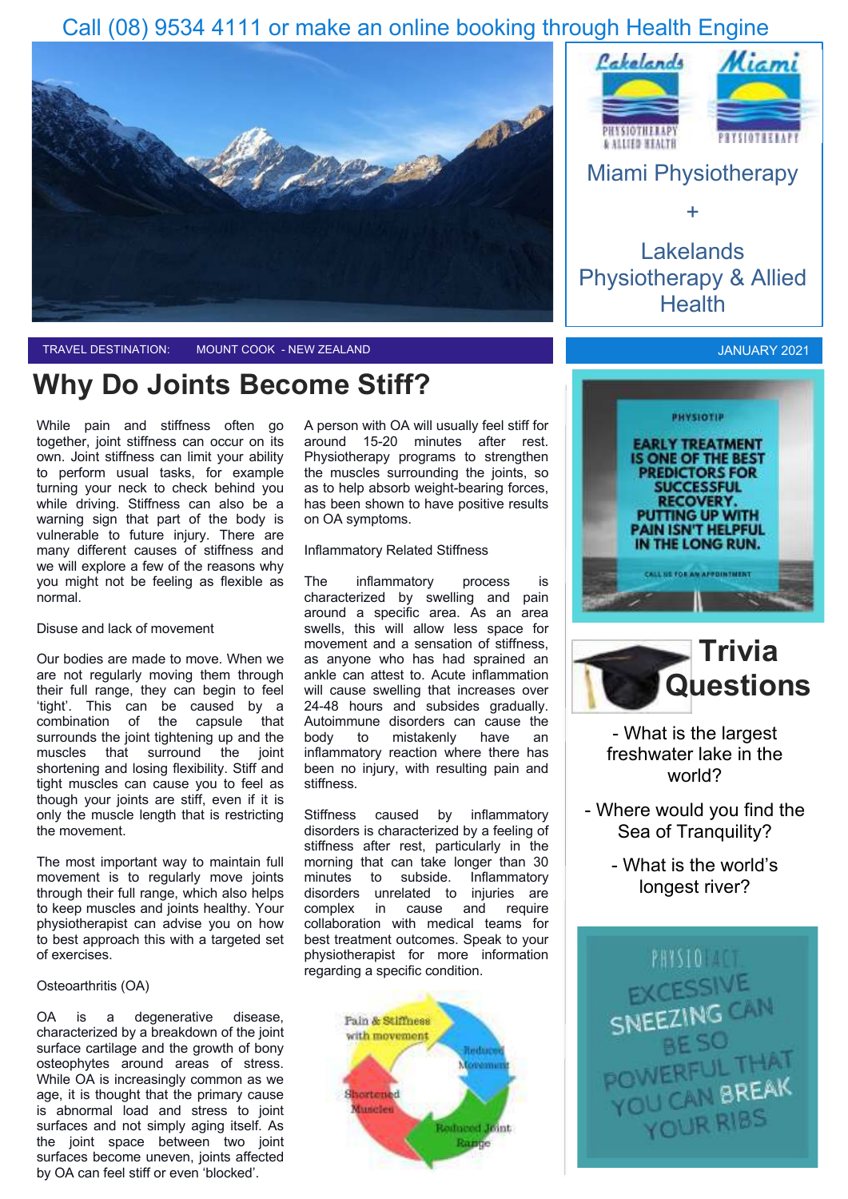## Call (08) 9534 4111 or make an online booking through Health Engine





TRAVEL DESTINATION: MOUNT COOK - NEW ZEALAND

## **Why Do Joints Become Stiff?**

While pain and stiffness often go together, joint stiffness can occur on its own. Joint stiffness can limit your ability to perform usual tasks, for example turning your neck to check behind you while driving. Stiffness can also be a warning sign that part of the body is vulnerable to future injury. There are many different causes of stiffness and we will explore a few of the reasons why you might not be feeling as flexible as normal.

Disuse and lack of movement

Our bodies are made to move. When we are not regularly moving them through their full range, they can begin to feel 'tight'. This can be caused by a combination of the capsule that surrounds the joint tightening up and the muscles that surround the joint shortening and losing flexibility. Stiff and tight muscles can cause you to feel as though your joints are stiff, even if it is only the muscle length that is restricting the movement.

The most important way to maintain full movement is to regularly move joints through their full range, which also helps to keep muscles and joints healthy. Your physiotherapist can advise you on how to best approach this with a targeted set of exercises.

#### Osteoarthritis (OA)

OA is a degenerative disease, characterized by a breakdown of the joint surface cartilage and the growth of bony osteophytes around areas of stress. While OA is increasingly common as we age, it is thought that the primary cause is abnormal load and stress to joint surfaces and not simply aging itself. As the joint space between two joint surfaces become uneven, joints affected by OA can feel stiff or even 'blocked'.

A person with OA will usually feel stiff for around 15-20 minutes after rest. Physiotherapy programs to strengthen the muscles surrounding the joints, so as to help absorb weight-bearing forces, has been shown to have positive results on OA symptoms.

#### Inflammatory Related Stiffness

The inflammatory process is characterized by swelling and pain around a specific area. As an area swells, this will allow less space for movement and a sensation of stiffness, as anyone who has had sprained an ankle can attest to. Acute inflammation will cause swelling that increases over 24-48 hours and subsides gradually. Autoimmune disorders can cause the body to mistakenly have an inflammatory reaction where there has been no injury, with resulting pain and stiffness.

Stiffness caused by inflammatory disorders is characterized by a feeling of stiffness after rest, particularly in the morning that can take longer than 30 minutes to subside. Inflammatory disorders unrelated to injuries are complex in cause and require collaboration with medical teams for best treatment outcomes. Speak to your physiotherapist for more information regarding a specific condition.





## Miami Physiotherapy

+

Lakelands Physiotherapy & Allied **Health** 







- What is the largest freshwater lake in the world?

- Where would you find the Sea of Tranquility?

> - What is the world's longest river?

PHYSIO ACT EXCESSIVE SNEEZING BE SO POWERFU<sub>ODEAK</sub> YOU CAN BREAK YOUR RIBS